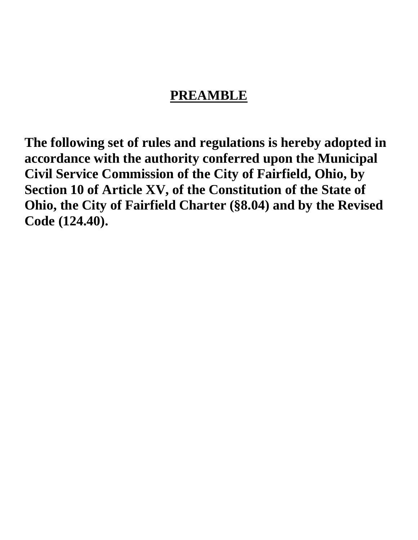# **PREAMBLE**

**The following set of rules and regulations is hereby adopted in accordance with the authority conferred upon the Municipal Civil Service Commission of the City of Fairfield, Ohio, by Section 10 of Article XV, of the Constitution of the State of Ohio, the City of Fairfield Charter (§8.04) and by the Revised Code (124.40).**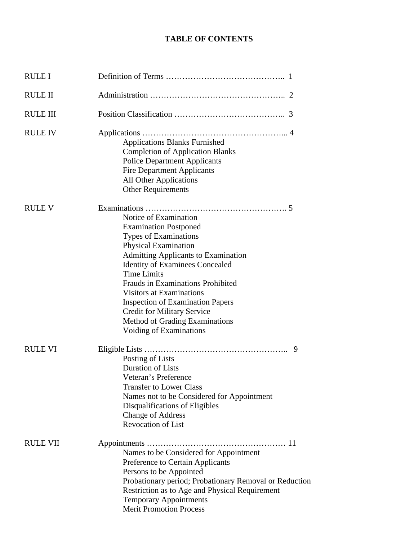# **TABLE OF CONTENTS**

| RULE I          |                                                                                                                                                                                                                                                                                                                                                                                                                                            |  |
|-----------------|--------------------------------------------------------------------------------------------------------------------------------------------------------------------------------------------------------------------------------------------------------------------------------------------------------------------------------------------------------------------------------------------------------------------------------------------|--|
| <b>RULE II</b>  |                                                                                                                                                                                                                                                                                                                                                                                                                                            |  |
| <b>RULE III</b> |                                                                                                                                                                                                                                                                                                                                                                                                                                            |  |
| <b>RULE IV</b>  | <b>Applications Blanks Furnished</b><br><b>Completion of Application Blanks</b><br><b>Police Department Applicants</b><br><b>Fire Department Applicants</b><br><b>All Other Applications</b><br><b>Other Requirements</b>                                                                                                                                                                                                                  |  |
| <b>RULE V</b>   | Notice of Examination<br><b>Examination Postponed</b><br>Types of Examinations<br>Physical Examination<br><b>Admitting Applicants to Examination</b><br><b>Identity of Examinees Concealed</b><br><b>Time Limits</b><br>Frauds in Examinations Prohibited<br><b>Visitors at Examinations</b><br><b>Inspection of Examination Papers</b><br><b>Credit for Military Service</b><br>Method of Grading Examinations<br>Voiding of Examinations |  |
| <b>RULE VI</b>  | 9<br>Posting of Lists<br><b>Duration of Lists</b><br>Veteran's Preference<br><b>Transfer to Lower Class</b><br>Names not to be Considered for Appointment<br>Disqualifications of Eligibles<br><b>Change of Address</b><br><b>Revocation of List</b>                                                                                                                                                                                       |  |
| <b>RULE VII</b> | Names to be Considered for Appointment<br>Preference to Certain Applicants<br>Persons to be Appointed<br>Probationary period; Probationary Removal or Reduction<br>Restriction as to Age and Physical Requirement<br><b>Temporary Appointments</b><br><b>Merit Promotion Process</b>                                                                                                                                                       |  |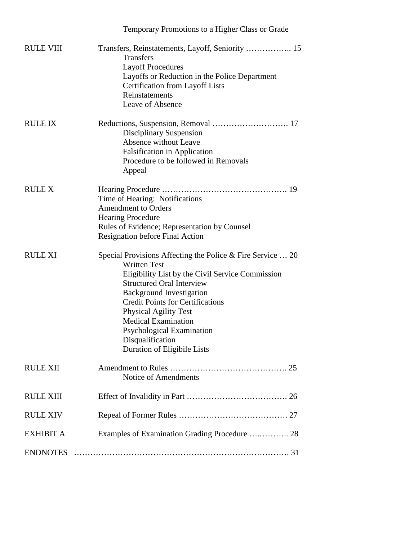|                  | Temporary Promotions to a Higher Class or Grade                                                                                                                                                                                                                                                                                                                                                       |
|------------------|-------------------------------------------------------------------------------------------------------------------------------------------------------------------------------------------------------------------------------------------------------------------------------------------------------------------------------------------------------------------------------------------------------|
| <b>RULE VIII</b> | Transfers<br><b>Layoff Procedures</b><br>Layoffs or Reduction in the Police Department<br><b>Certification from Layoff Lists</b><br>Reinstatements<br>Leave of Absence                                                                                                                                                                                                                                |
| <b>RULE IX</b>   | <b>Disciplinary Suspension</b><br><b>Absence without Leave</b><br><b>Falsification in Application</b><br>Procedure to be followed in Removals<br>Appeal                                                                                                                                                                                                                                               |
| <b>RULE X</b>    | Time of Hearing: Notifications<br><b>Amendment to Orders</b><br><b>Hearing Procedure</b><br>Rules of Evidence; Representation by Counsel<br><b>Resignation before Final Action</b>                                                                                                                                                                                                                    |
| <b>RULE XI</b>   | Special Provisions Affecting the Police & Fire Service  20<br><b>Written Test</b><br>Eligibility List by the Civil Service Commission<br><b>Structured Oral Interview</b><br><b>Background Investigation</b><br><b>Credit Points for Certifications</b><br><b>Physical Agility Test</b><br><b>Medical Examination</b><br>Psychological Examination<br>Disqualification<br>Duration of Eligibile Lists |
| <b>RULE XII</b>  | Notice of Amendments                                                                                                                                                                                                                                                                                                                                                                                  |
| <b>RULE XIII</b> |                                                                                                                                                                                                                                                                                                                                                                                                       |
| <b>RULE XIV</b>  |                                                                                                                                                                                                                                                                                                                                                                                                       |
| <b>EXHIBIT A</b> | Examples of Examination Grading Procedure  28                                                                                                                                                                                                                                                                                                                                                         |
| <b>ENDNOTES</b>  |                                                                                                                                                                                                                                                                                                                                                                                                       |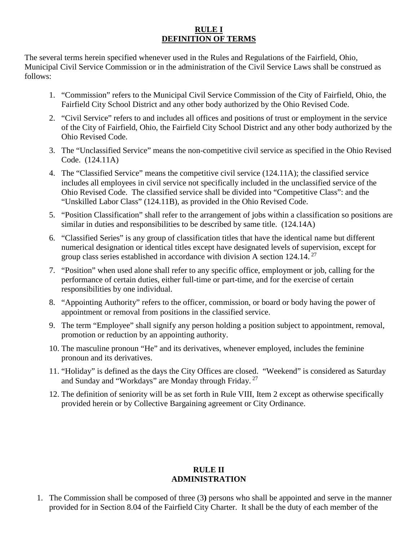### **RULE I DEFINITION OF TERMS**

The several terms herein specified whenever used in the Rules and Regulations of the Fairfield, Ohio, Municipal Civil Service Commission or in the administration of the Civil Service Laws shall be construed as follows:

- 1. "Commission" refers to the Municipal Civil Service Commission of the City of Fairfield, Ohio, the Fairfield City School District and any other body authorized by the Ohio Revised Code.
- 2. "Civil Service" refers to and includes all offices and positions of trust or employment in the service of the City of Fairfield, Ohio, the Fairfield City School District and any other body authorized by the Ohio Revised Code.
- 3. The "Unclassified Service" means the non-competitive civil service as specified in the Ohio Revised Code. (124.11A)
- 4. The "Classified Service" means the competitive civil service (124.11A); the classified service includes all employees in civil service not specifically included in the unclassified service of the Ohio Revised Code. The classified service shall be divided into "Competitive Class": and the "Unskilled Labor Class" (124.11B), as provided in the Ohio Revised Code.
- 5. "Position Classification" shall refer to the arrangement of jobs within a classification so positions are similar in duties and responsibilities to be described by same title. (124.14A)
- 6. "Classified Series" is any group of classification titles that have the identical name but different numerical designation or identical titles except have designated levels of supervision, except for group class series established in accordance with division A section 124.14.<sup>27</sup>
- 7. "Position" when used alone shall refer to any specific office, employment or job, calling for the performance of certain duties, either full-time or part-time, and for the exercise of certain responsibilities by one individual.
- 8. "Appointing Authority" refers to the officer, commission, or board or body having the power of appointment or removal from positions in the classified service.
- 9. The term "Employee" shall signify any person holding a position subject to appointment, removal, promotion or reduction by an appointing authority.
- 10. The masculine pronoun "He" and its derivatives, whenever employed, includes the feminine pronoun and its derivatives.
- 11. "Holiday" is defined as the days the City Offices are closed. "Weekend" is considered as Saturday and Sunday and "Workdays" are Monday through Friday.<sup>27</sup>
- 12. The definition of seniority will be as set forth in Rule VIII, Item 2 except as otherwise specifically provided herein or by Collective Bargaining agreement or City Ordinance.

#### **RULE II ADMINISTRATION**

1. The Commission shall be composed of three (3**)** persons who shall be appointed and serve in the manner provided for in Section 8.04 of the Fairfield City Charter. It shall be the duty of each member of the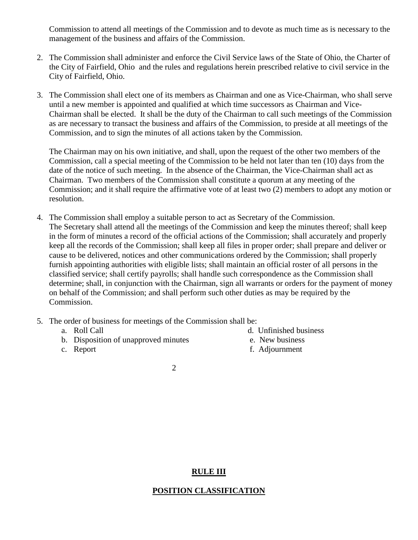Commission to attend all meetings of the Commission and to devote as much time as is necessary to the management of the business and affairs of the Commission.

- 2. The Commission shall administer and enforce the Civil Service laws of the State of Ohio, the Charter of the City of Fairfield, Ohio and the rules and regulations herein prescribed relative to civil service in the City of Fairfield, Ohio.
- 3. The Commission shall elect one of its members as Chairman and one as Vice-Chairman, who shall serve until a new member is appointed and qualified at which time successors as Chairman and Vice-Chairman shall be elected. It shall be the duty of the Chairman to call such meetings of the Commission as are necessary to transact the business and affairs of the Commission, to preside at all meetings of the Commission, and to sign the minutes of all actions taken by the Commission.

The Chairman may on his own initiative, and shall, upon the request of the other two members of the Commission, call a special meeting of the Commission to be held not later than ten (10) days from the date of the notice of such meeting. In the absence of the Chairman, the Vice-Chairman shall act as Chairman. Two members of the Commission shall constitute a quorum at any meeting of the Commission; and it shall require the affirmative vote of at least two (2) members to adopt any motion or resolution.

- 4. The Commission shall employ a suitable person to act as Secretary of the Commission. The Secretary shall attend all the meetings of the Commission and keep the minutes thereof; shall keep in the form of minutes a record of the official actions of the Commission; shall accurately and properly keep all the records of the Commission; shall keep all files in proper order; shall prepare and deliver or cause to be delivered, notices and other communications ordered by the Commission; shall properly furnish appointing authorities with eligible lists; shall maintain an official roster of all persons in the classified service; shall certify payrolls; shall handle such correspondence as the Commission shall determine; shall, in conjunction with the Chairman, sign all warrants or orders for the payment of money on behalf of the Commission; and shall perform such other duties as may be required by the Commission.
- 5. The order of business for meetings of the Commission shall be:
	-
	- b. Disposition of unapproved minutes e. New business
	-
	- a. Roll Call d. Unfinished business
		-
	- c. Report f. Adjournment

2

### **RULE III**

#### **POSITION CLASSIFICATION**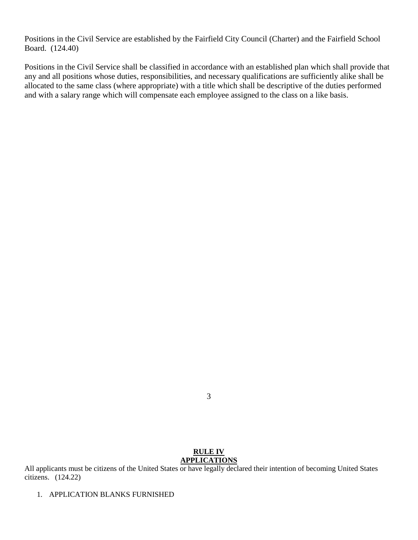Positions in the Civil Service are established by the Fairfield City Council (Charter) and the Fairfield School Board. (124.40)

Positions in the Civil Service shall be classified in accordance with an established plan which shall provide that any and all positions whose duties, responsibilities, and necessary qualifications are sufficiently alike shall be allocated to the same class (where appropriate) with a title which shall be descriptive of the duties performed and with a salary range which will compensate each employee assigned to the class on a like basis.

#### **RULE IV APPLICATIONS**

All applicants must be citizens of the United States or have legally declared their intention of becoming United States citizens. (124.22)

1. APPLICATION BLANKS FURNISHED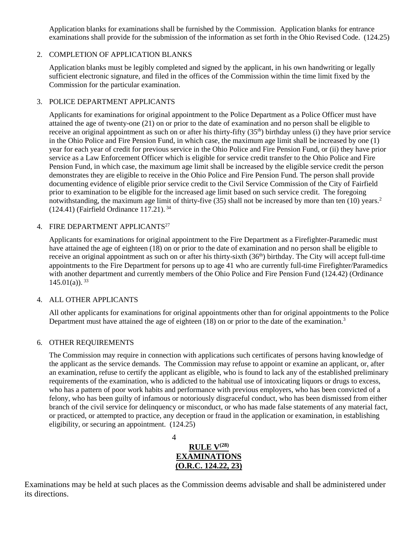Application blanks for examinations shall be furnished by the Commission. Application blanks for entrance examinations shall provide for the submission of the information as set forth in the Ohio Revised Code. (124.25)

#### 2. COMPLETION OF APPLICATION BLANKS

Application blanks must be legibly completed and signed by the applicant, in his own handwriting or legally sufficient electronic signature, and filed in the offices of the Commission within the time limit fixed by the Commission for the particular examination.

#### 3. POLICE DEPARTMENT APPLICANTS

Applicants for examinations for original appointment to the Police Department as a Police Officer must have attained the age of twenty-one (21) on or prior to the date of examination and no person shall be eligible to receive an original appointment as such on or after his thirty-fifty  $(35<sup>th</sup>)$  birthday unless (i) they have prior service in the Ohio Police and Fire Pension Fund, in which case, the maximum age limit shall be increased by one (1) year for each year of credit for previous service in the Ohio Police and Fire Pension Fund, or (ii) they have prior service as a Law Enforcement Officer which is eligible for service credit transfer to the Ohio Police and Fire Pension Fund, in which case, the maximum age limit shall be increased by the eligible service credit the person demonstrates they are eligible to receive in the Ohio Police and Fire Pension Fund. The person shall provide documenting evidence of eligible prior service credit to the Civil Service Commission of the City of Fairfield prior to examination to be eligible for the increased age limit based on such service credit. The foregoing notwithstanding, the maximum age limit of thirty-five (35) shall not be increased by more than ten (10) years.<sup>2</sup> (124.41) (Fairfield Ordinance 117.21). <sup>34</sup>

#### 4. FIRE DEPARTMENT APPLICANTS<sup>27</sup>

Applicants for examinations for original appointment to the Fire Department as a Firefighter-Paramedic must have attained the age of eighteen (18) on or prior to the date of examination and no person shall be eligible to receive an original appointment as such on or after his thirty-sixth (36<sup>th</sup>) birthday. The City will accept full-time appointments to the Fire Department for persons up to age 41 who are currently full-time Firefighter/Paramedics with another department and currently members of the Ohio Police and Fire Pension Fund (124.42) (Ordinance  $145.01(a)$ .  $33$ 

#### 4. ALL OTHER APPLICANTS

All other applicants for examinations for original appointments other than for original appointments to the Police Department must have attained the age of eighteen  $(18)$  on or prior to the date of the examination.<sup>3</sup>

#### 6. OTHER REQUIREMENTS

The Commission may require in connection with applications such certificates of persons having knowledge of the applicant as the service demands. The Commission may refuse to appoint or examine an applicant, or, after an examination, refuse to certify the applicant as eligible, who is found to lack any of the established preliminary requirements of the examination, who is addicted to the habitual use of intoxicating liquors or drugs to excess, who has a pattern of poor work habits and performance with previous employers, who has been convicted of a felony, who has been guilty of infamous or notoriously disgraceful conduct, who has been dismissed from either branch of the civil service for delinquency or misconduct, or who has made false statements of any material fact, or practiced, or attempted to practice, any deception or fraud in the application or examination, in establishing eligibility, or securing an appointment. (124.25)

> 4 **RULE V(28) EXAMINATIONS (O.R.C. 124.22, 23)**

Examinations may be held at such places as the Commission deems advisable and shall be administered under its directions.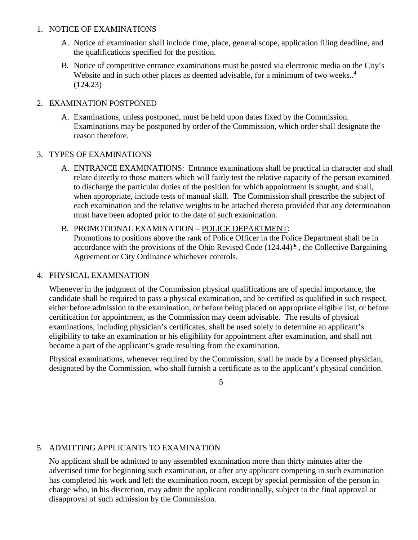### 1. NOTICE OF EXAMINATIONS

- A. Notice of examination shall include time, place, general scope, application filing deadline, and the qualifications specified for the position.
- B. Notice of competitive entrance examinations must be posted via electronic media on the City's Website and in such other places as deemed advisable, for a minimum of two weeks..<sup>4</sup> (124.23)

### 2. EXAMINATION POSTPONED

A. Examinations, unless postponed, must be held upon dates fixed by the Commission. Examinations may be postponed by order of the Commission, which order shall designate the reason therefore.

### 3. TYPES OF EXAMINATIONS

A. ENTRANCE EXAMINATIONS: Entrance examinations shall be practical in character and shall relate directly to those matters which will fairly test the relative capacity of the person examined to discharge the particular duties of the position for which appointment is sought, and shall, when appropriate, include tests of manual skill. The Commission shall prescribe the subject of each examination and the relative weights to be attached thereto provided that any determination must have been adopted prior to the date of such examination.

#### B. PROMOTIONAL EXAMINATION – POLICE DEPARTMENT:

Promotions to positions above the rank of Police Officer in the Police Department shall be in accordance with the provisions of the Ohio Revised Code (124.44) **<sup>6</sup>** , the Collective Bargaining Agreement or City Ordinance whichever controls.

### 4. PHYSICAL EXAMINATION

Whenever in the judgment of the Commission physical qualifications are of special importance, the candidate shall be required to pass a physical examination, and be certified as qualified in such respect, either before admission to the examination, or before being placed on appropriate eligible list, or before certification for appointment, as the Commission may deem advisable. The results of physical examinations, including physician's certificates, shall be used solely to determine an applicant's eligibility to take an examination or his eligibility for appointment after examination, and shall not become a part of the applicant's grade resulting from the examination.

Physical examinations, whenever required by the Commission, shall be made by a licensed physician, designated by the Commission, who shall furnish a certificate as to the applicant's physical condition.

5

### 5. ADMITTING APPLICANTS TO EXAMINATION

No applicant shall be admitted to any assembled examination more than thirty minutes after the advertised time for beginning such examination, or after any applicant competing in such examination has completed his work and left the examination room, except by special permission of the person in charge who, in his discretion, may admit the applicant conditionally, subject to the final approval or disapproval of such admission by the Commission.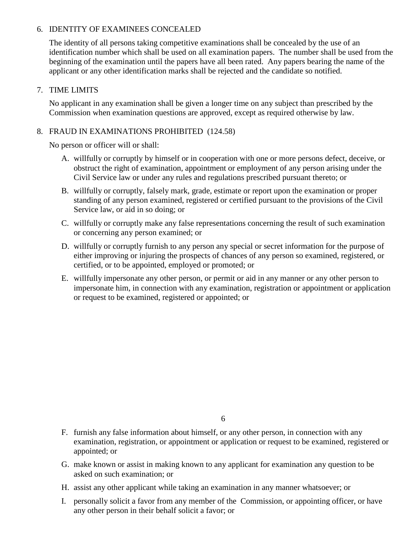### 6. IDENTITY OF EXAMINEES CONCEALED

The identity of all persons taking competitive examinations shall be concealed by the use of an identification number which shall be used on all examination papers. The number shall be used from the beginning of the examination until the papers have all been rated. Any papers bearing the name of the applicant or any other identification marks shall be rejected and the candidate so notified.

#### 7. TIME LIMITS

No applicant in any examination shall be given a longer time on any subject than prescribed by the Commission when examination questions are approved, except as required otherwise by law.

### 8. FRAUD IN EXAMINATIONS PROHIBITED (124.58)

No person or officer will or shall:

- A. willfully or corruptly by himself or in cooperation with one or more persons defect, deceive, or obstruct the right of examination, appointment or employment of any person arising under the Civil Service law or under any rules and regulations prescribed pursuant thereto; or
- B. willfully or corruptly, falsely mark, grade, estimate or report upon the examination or proper standing of any person examined, registered or certified pursuant to the provisions of the Civil Service law, or aid in so doing; or
- C. willfully or corruptly make any false representations concerning the result of such examination or concerning any person examined; or
- D. willfully or corruptly furnish to any person any special or secret information for the purpose of either improving or injuring the prospects of chances of any person so examined, registered, or certified, or to be appointed, employed or promoted; or
- E. willfully impersonate any other person, or permit or aid in any manner or any other person to impersonate him, in connection with any examination, registration or appointment or application or request to be examined, registered or appointed; or

- F. furnish any false information about himself, or any other person, in connection with any examination, registration, or appointment or application or request to be examined, registered or appointed; or
- G. make known or assist in making known to any applicant for examination any question to be asked on such examination; or
- H. assist any other applicant while taking an examination in any manner whatsoever; or
- I. personally solicit a favor from any member of the Commission, or appointing officer, or have any other person in their behalf solicit a favor; or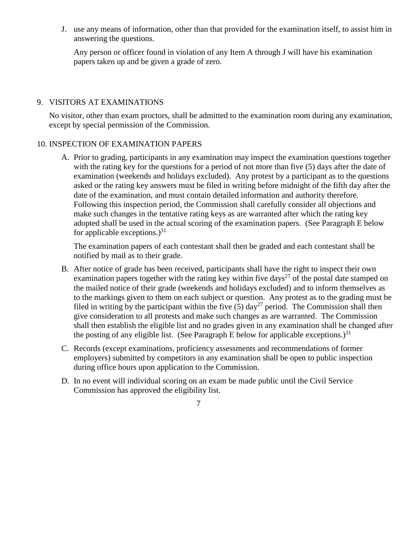J. use any means of information, other than that provided for the examination itself, to assist him in answering the questions.

Any person or officer found in violation of any Item A through J will have his examination papers taken up and be given a grade of zero.

#### 9. VISITORS AT EXAMINATIONS

No visitor, other than exam proctors, shall be admitted to the examination room during any examination, except by special permission of the Commission.

### 10. INSPECTION OF EXAMINATION PAPERS

A. Prior to grading, participants in any examination may inspect the examination questions together with the rating key for the questions for a period of not more than five (5) days after the date of examination (weekends and holidays excluded). Any protest by a participant as to the questions asked or the rating key answers must be filed in writing before midnight of the fifth day after the date of the examination, and must contain detailed information and authority therefore. Following this inspection period, the Commission shall carefully consider all objections and make such changes in the tentative rating keys as are warranted after which the rating key adopted shall be used in the actual scoring of the examination papers. (See Paragraph E below for applicable exceptions.) $31$ 

The examination papers of each contestant shall then be graded and each contestant shall be notified by mail as to their grade.

- B. After notice of grade has been received, participants shall have the right to inspect their own examination papers together with the rating key within five days<sup>27</sup> of the postal date stamped on the mailed notice of their grade (weekends and holidays excluded) and to inform themselves as to the markings given to them on each subject or question. Any protest as to the grading must be filed in writing by the participant within the five  $(5)$  day<sup>27</sup> period. The Commission shall then give consideration to all protests and make such changes as are warranted. The Commission shall then establish the eligible list and no grades given in any examination shall be changed after the posting of any eligible list. (See Paragraph E below for applicable exceptions.)<sup>31</sup>
- C. Records (except examinations, proficiency assessments and recommendations of former employers) submitted by competitors in any examination shall be open to public inspection during office hours upon application to the Commission.
- D. In no event will individual scoring on an exam be made public until the Civil Service Commission has approved the eligibility list.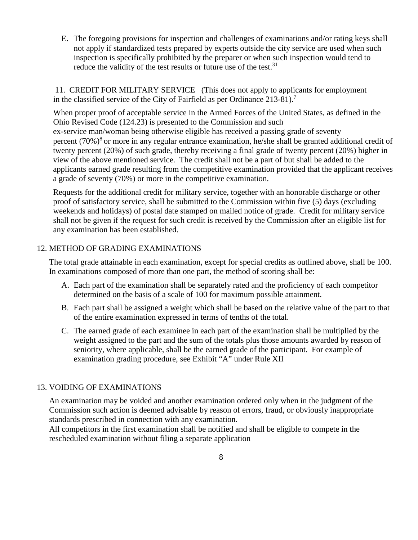E. The foregoing provisions for inspection and challenges of examinations and/or rating keys shall not apply if standardized tests prepared by experts outside the city service are used when such inspection is specifically prohibited by the preparer or when such inspection would tend to reduce the validity of the test results or future use of the test.<sup>31</sup>

11. CREDIT FOR MILITARY SERVICE (This does not apply to applicants for employment in the classified service of the City of Fairfield as per Ordinance 213-81).7

 When proper proof of acceptable service in the Armed Forces of the United States, as defined in the Ohio Revised Code (124.23) is presented to the Commission and such ex-service man/woman being otherwise eligible has received a passing grade of seventy percent  $(70%)^8$  or more in any regular entrance examination, he/she shall be granted additional credit of twenty percent (20%) of such grade, thereby receiving a final grade of twenty percent (20%) higher in view of the above mentioned service. The credit shall not be a part of but shall be added to the applicants earned grade resulting from the competitive examination provided that the applicant receives a grade of seventy (70%) or more in the competitive examination.

Requests for the additional credit for military service, together with an honorable discharge or other proof of satisfactory service, shall be submitted to the Commission within five (5) days (excluding weekends and holidays) of postal date stamped on mailed notice of grade. Credit for military service shall not be given if the request for such credit is received by the Commission after an eligible list for any examination has been established.

### 12. METHOD OF GRADING EXAMINATIONS

The total grade attainable in each examination, except for special credits as outlined above, shall be 100. In examinations composed of more than one part, the method of scoring shall be:

- A. Each part of the examination shall be separately rated and the proficiency of each competitor determined on the basis of a scale of 100 for maximum possible attainment.
- B. Each part shall be assigned a weight which shall be based on the relative value of the part to that of the entire examination expressed in terms of tenths of the total.
- C. The earned grade of each examinee in each part of the examination shall be multiplied by the weight assigned to the part and the sum of the totals plus those amounts awarded by reason of seniority, where applicable, shall be the earned grade of the participant. For example of examination grading procedure, see Exhibit "A" under Rule XII

#### 13. VOIDING OF EXAMINATIONS

An examination may be voided and another examination ordered only when in the judgment of the Commission such action is deemed advisable by reason of errors, fraud, or obviously inappropriate standards prescribed in connection with any examination.

All competitors in the first examination shall be notified and shall be eligible to compete in the rescheduled examination without filing a separate application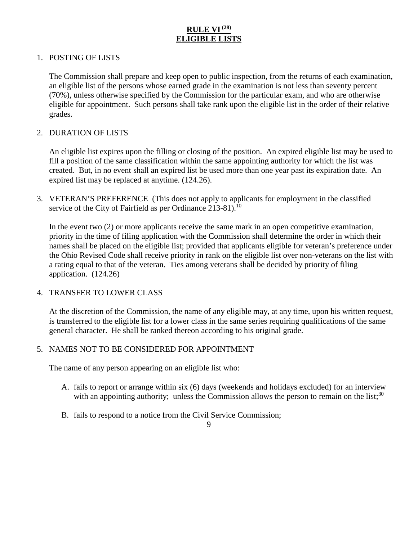# **RULE VI(28) ELIGIBLE LISTS**

### 1. POSTING OF LISTS

The Commission shall prepare and keep open to public inspection, from the returns of each examination, an eligible list of the persons whose earned grade in the examination is not less than seventy percent (70%), unless otherwise specified by the Commission for the particular exam, and who are otherwise eligible for appointment. Such persons shall take rank upon the eligible list in the order of their relative grades.

#### 2. DURATION OF LISTS

An eligible list expires upon the filling or closing of the position. An expired eligible list may be used to fill a position of the same classification within the same appointing authority for which the list was created. But, in no event shall an expired list be used more than one year past its expiration date. An expired list may be replaced at anytime. (124.26).

3. VETERAN'S PREFERENCE (This does not apply to applicants for employment in the classified service of the City of Fairfield as per Ordinance  $213-81$ ).<sup>10</sup>

In the event two (2) or more applicants receive the same mark in an open competitive examination, priority in the time of filing application with the Commission shall determine the order in which their names shall be placed on the eligible list; provided that applicants eligible for veteran's preference under the Ohio Revised Code shall receive priority in rank on the eligible list over non-veterans on the list with a rating equal to that of the veteran. Ties among veterans shall be decided by priority of filing application. (124.26)

#### 4. TRANSFER TO LOWER CLASS

At the discretion of the Commission, the name of any eligible may, at any time, upon his written request, is transferred to the eligible list for a lower class in the same series requiring qualifications of the same general character. He shall be ranked thereon according to his original grade.

#### 5. NAMES NOT TO BE CONSIDERED FOR APPOINTMENT

The name of any person appearing on an eligible list who:

- A. fails to report or arrange within six (6) days (weekends and holidays excluded) for an interview with an appointing authority; unless the Commission allows the person to remain on the list;<sup>30</sup>
- B. fails to respond to a notice from the Civil Service Commission;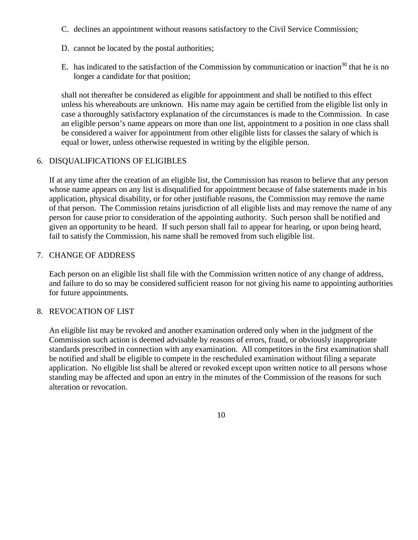- C. declines an appointment without reasons satisfactory to the Civil Service Commission;
- D. cannot be located by the postal authorities;
- E. has indicated to the satisfaction of the Commission by communication or inaction<sup>30</sup> that he is no longer a candidate for that position;

shall not thereafter be considered as eligible for appointment and shall be notified to this effect unless his whereabouts are unknown. His name may again be certified from the eligible list only in case a thoroughly satisfactory explanation of the circumstances is made to the Commission. In case an eligible person's name appears on more than one list, appointment to a position in one class shall be considered a waiver for appointment from other eligible lists for classes the salary of which is equal or lower, unless otherwise requested in writing by the eligible person.

### 6. DISQUALIFICATIONS OF ELIGIBLES

If at any time after the creation of an eligible list, the Commission has reason to believe that any person whose name appears on any list is disqualified for appointment because of false statements made in his application, physical disability, or for other justifiable reasons, the Commission may remove the name of that person. The Commission retains jurisdiction of all eligible lists and may remove the name of any person for cause prior to consideration of the appointing authority. Such person shall be notified and given an opportunity to be heard. If such person shall fail to appear for hearing, or upon being heard, fail to satisfy the Commission, his name shall be removed from such eligible list.

### 7. CHANGE OF ADDRESS

Each person on an eligible list shall file with the Commission written notice of any change of address, and failure to do so may be considered sufficient reason for not giving his name to appointing authorities for future appointments.

#### 8. REVOCATION OF LIST

An eligible list may be revoked and another examination ordered only when in the judgment of the Commission such action is deemed advisable by reasons of errors, fraud, or obviously inappropriate standards prescribed in connection with any examination. All competitors in the first examination shall be notified and shall be eligible to compete in the rescheduled examination without filing a separate application. No eligible list shall be altered or revoked except upon written notice to all persons whose standing may be affected and upon an entry in the minutes of the Commission of the reasons for such alteration or revocation.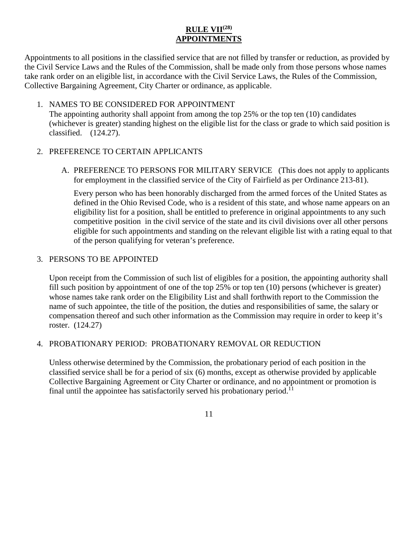# **RULE VII(28) APPOINTMENTS**

Appointments to all positions in the classified service that are not filled by transfer or reduction, as provided by the Civil Service Laws and the Rules of the Commission, shall be made only from those persons whose names take rank order on an eligible list, in accordance with the Civil Service Laws, the Rules of the Commission, Collective Bargaining Agreement, City Charter or ordinance, as applicable.

### 1. NAMES TO BE CONSIDERED FOR APPOINTMENT

The appointing authority shall appoint from among the top 25% or the top ten (10) candidates (whichever is greater) standing highest on the eligible list for the class or grade to which said position is classified. (124.27).

### 2. PREFERENCE TO CERTAIN APPLICANTS

A. PREFERENCE TO PERSONS FOR MILITARY SERVICE (This does not apply to applicants for employment in the classified service of the City of Fairfield as per Ordinance 213-81).

Every person who has been honorably discharged from the armed forces of the United States as defined in the Ohio Revised Code, who is a resident of this state, and whose name appears on an eligibility list for a position, shall be entitled to preference in original appointments to any such competitive position in the civil service of the state and its civil divisions over all other persons eligible for such appointments and standing on the relevant eligible list with a rating equal to that of the person qualifying for veteran's preference.

### 3. PERSONS TO BE APPOINTED

Upon receipt from the Commission of such list of eligibles for a position, the appointing authority shall fill such position by appointment of one of the top 25% or top ten (10) persons (whichever is greater) whose names take rank order on the Eligibility List and shall forthwith report to the Commission the name of such appointee, the title of the position, the duties and responsibilities of same, the salary or compensation thereof and such other information as the Commission may require in order to keep it's roster. (124.27)

### 4. PROBATIONARY PERIOD: PROBATIONARY REMOVAL OR REDUCTION

Unless otherwise determined by the Commission, the probationary period of each position in the classified service shall be for a period of six (6) months, except as otherwise provided by applicable Collective Bargaining Agreement or City Charter or ordinance, and no appointment or promotion is final until the appointee has satisfactorily served his probationary period.<sup>11</sup>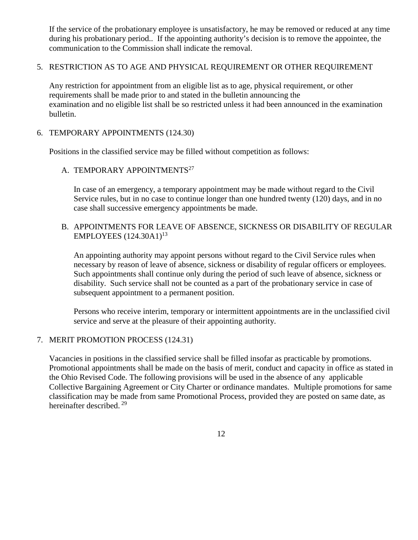If the service of the probationary employee is unsatisfactory, he may be removed or reduced at any time during his probationary period.. If the appointing authority's decision is to remove the appointee, the communication to the Commission shall indicate the removal.

5. RESTRICTION AS TO AGE AND PHYSICAL REQUIREMENT OR OTHER REQUIREMENT

Any restriction for appointment from an eligible list as to age, physical requirement, or other requirements shall be made prior to and stated in the bulletin announcing the examination and no eligible list shall be so restricted unless it had been announced in the examination bulletin.

6. TEMPORARY APPOINTMENTS (124.30)

Positions in the classified service may be filled without competition as follows:

A. TEMPORARY APPOINTMENTS<sup>27</sup>

In case of an emergency, a temporary appointment may be made without regard to the Civil Service rules, but in no case to continue longer than one hundred twenty (120) days, and in no case shall successive emergency appointments be made.

B. APPOINTMENTS FOR LEAVE OF ABSENCE, SICKNESS OR DISABILITY OF REGULAR EMPLOYEES (124.30A1)<sup>13</sup>

An appointing authority may appoint persons without regard to the Civil Service rules when necessary by reason of leave of absence, sickness or disability of regular officers or employees. Such appointments shall continue only during the period of such leave of absence, sickness or disability. Such service shall not be counted as a part of the probationary service in case of subsequent appointment to a permanent position.

Persons who receive interim, temporary or intermittent appointments are in the unclassified civil service and serve at the pleasure of their appointing authority.

#### 7. MERIT PROMOTION PROCESS (124.31)

Vacancies in positions in the classified service shall be filled insofar as practicable by promotions. Promotional appointments shall be made on the basis of merit, conduct and capacity in office as stated in the Ohio Revised Code. The following provisions will be used in the absence of any applicable Collective Bargaining Agreement or City Charter or ordinance mandates. Multiple promotions for same classification may be made from same Promotional Process, provided they are posted on same date, as hereinafter described. <sup>29</sup>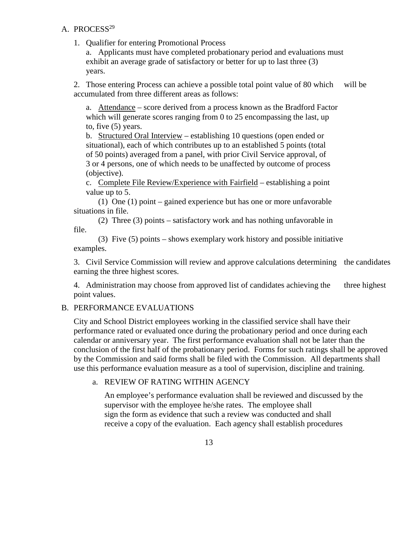#### A. PROCESS<sup>29</sup>

1. Qualifier for entering Promotional Process

a. Applicants must have completed probationary period and evaluations must exhibit an average grade of satisfactory or better for up to last three (3) years.

2. Those entering Process can achieve a possible total point value of 80 which will be accumulated from three different areas as follows:

a. Attendance – score derived from a process known as the Bradford Factor which will generate scores ranging from 0 to 25 encompassing the last, up to, five (5) years.

b. Structured Oral Interview – establishing 10 questions (open ended or situational), each of which contributes up to an established 5 points (total of 50 points) averaged from a panel, with prior Civil Service approval, of 3 or 4 persons, one of which needs to be unaffected by outcome of process (objective).

c. Complete File Review/Experience with Fairfield – establishing a point value up to 5.

(1) One (1) point – gained experience but has one or more unfavorable situations in file.

(2) Three (3) points – satisfactory work and has nothing unfavorable in file.

(3) Five (5) points – shows exemplary work history and possible initiative examples.

3. Civil Service Commission will review and approve calculations determining the candidates earning the three highest scores.

4. Administration may choose from approved list of candidates achieving the three highest point values.

### B. PERFORMANCE EVALUATIONS

City and School District employees working in the classified service shall have their performance rated or evaluated once during the probationary period and once during each calendar or anniversary year. The first performance evaluation shall not be later than the conclusion of the first half of the probationary period. Forms for such ratings shall be approved by the Commission and said forms shall be filed with the Commission. All departments shall use this performance evaluation measure as a tool of supervision, discipline and training.

#### a. REVIEW OF RATING WITHIN AGENCY

An employee's performance evaluation shall be reviewed and discussed by the supervisor with the employee he/she rates. The employee shall sign the form as evidence that such a review was conducted and shall receive a copy of the evaluation. Each agency shall establish procedures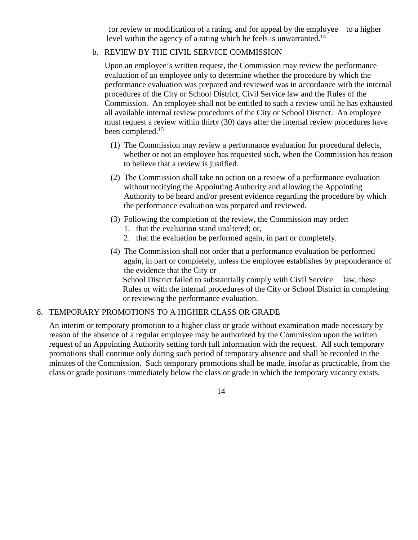for review or modification of a rating, and for appeal by the employee to a higher level within the agency of a rating which he feels is unwarranted.<sup>14</sup>

### b. REVIEW BY THE CIVIL SERVICE COMMISSION

Upon an employee's written request, the Commission may review the performance evaluation of an employee only to determine whether the procedure by which the performance evaluation was prepared and reviewed was in accordance with the internal procedures of the City or School District, Civil Service law and the Rules of the Commission. An employee shall not be entitled to such a review until he has exhausted all available internal review procedures of the City or School District. An employee must request a review within thirty (30) days after the internal review procedures have been completed.<sup>15</sup>

- (1) The Commission may review a performance evaluation for procedural defects, whether or not an employee has requested such, when the Commission has reason to believe that a review is justified.
- (2) The Commission shall take no action on a review of a performance evaluation without notifying the Appointing Authority and allowing the Appointing Authority to be heard and/or present evidence regarding the procedure by which the performance evaluation was prepared and reviewed.
- (3) Following the completion of the review, the Commission may order:
	- 1. that the evaluation stand unaltered; or,
	- 2. that the evaluation be performed again, in part or completely.
- (4) The Commission shall not order that a performance evaluation be performed again, in part or completely, unless the employee establishes by preponderance of the evidence that the City or School District failed to substantially comply with Civil Service law, these Rules or with the internal procedures of the City or School District in completing or reviewing the performance evaluation.

#### 8. TEMPORARY PROMOTIONS TO A HIGHER CLASS OR GRADE

An interim or temporary promotion to a higher class or grade without examination made necessary by reason of the absence of a regular employee may be authorized by the Commission upon the written request of an Appointing Authority setting forth full information with the request. All such temporary promotions shall continue only during such period of temporary absence and shall be recorded in the minutes of the Commission. Such temporary promotions shall be made, insofar as practicable, from the class or grade positions immediately below the class or grade in which the temporary vacancy exists.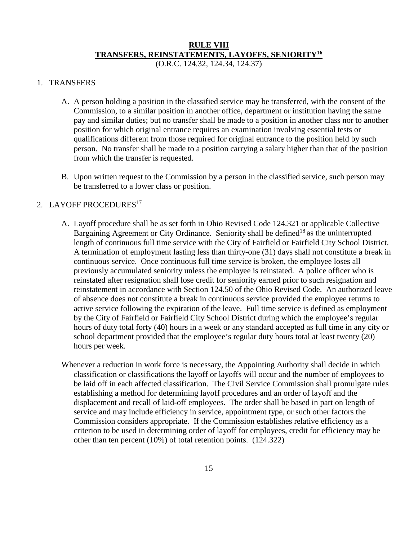# **RULE VIII TRANSFERS, REINSTATEMENTS, LAYOFFS, SENIORITY16**

(O.R.C. 124.32, 124.34, 124.37)

#### 1. TRANSFERS

- A. A person holding a position in the classified service may be transferred, with the consent of the Commission, to a similar position in another office, department or institution having the same pay and similar duties; but no transfer shall be made to a position in another class nor to another position for which original entrance requires an examination involving essential tests or qualifications different from those required for original entrance to the position held by such person. No transfer shall be made to a position carrying a salary higher than that of the position from which the transfer is requested.
- B. Upon written request to the Commission by a person in the classified service, such person may be transferred to a lower class or position.

#### 2. LAYOFF PROCEDURES<sup>17</sup>

- A. Layoff procedure shall be as set forth in Ohio Revised Code 124.321 or applicable Collective Bargaining Agreement or City Ordinance. Seniority shall be defined<sup>18</sup> as the uninterrupted length of continuous full time service with the City of Fairfield or Fairfield City School District. A termination of employment lasting less than thirty-one (31) days shall not constitute a break in continuous service. Once continuous full time service is broken, the employee loses all previously accumulated seniority unless the employee is reinstated. A police officer who is reinstated after resignation shall lose credit for seniority earned prior to such resignation and reinstatement in accordance with Section 124.50 of the Ohio Revised Code. An authorized leave of absence does not constitute a break in continuous service provided the employee returns to active service following the expiration of the leave. Full time service is defined as employment by the City of Fairfield or Fairfield City School District during which the employee's regular hours of duty total forty (40) hours in a week or any standard accepted as full time in any city or school department provided that the employee's regular duty hours total at least twenty (20) hours per week.
- Whenever a reduction in work force is necessary, the Appointing Authority shall decide in which classification or classifications the layoff or layoffs will occur and the number of employees to be laid off in each affected classification. The Civil Service Commission shall promulgate rules establishing a method for determining layoff procedures and an order of layoff and the displacement and recall of laid-off employees. The order shall be based in part on length of service and may include efficiency in service, appointment type, or such other factors the Commission considers appropriate. If the Commission establishes relative efficiency as a criterion to be used in determining order of layoff for employees, credit for efficiency may be other than ten percent (10%) of total retention points. (124.322)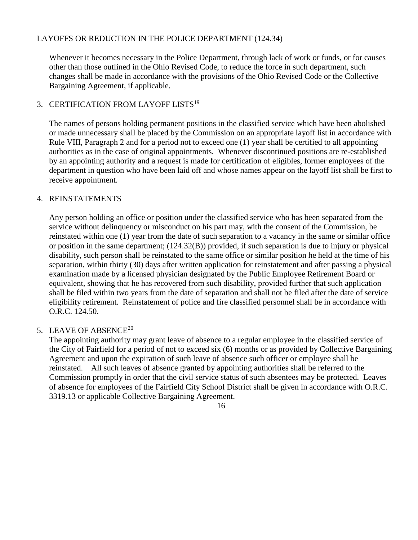### LAYOFFS OR REDUCTION IN THE POLICE DEPARTMENT (124.34)

Whenever it becomes necessary in the Police Department, through lack of work or funds, or for causes other than those outlined in the Ohio Revised Code, to reduce the force in such department, such changes shall be made in accordance with the provisions of the Ohio Revised Code or the Collective Bargaining Agreement, if applicable.

### 3. CERTIFICATION FROM LAYOFF LISTS<sup>19</sup>

The names of persons holding permanent positions in the classified service which have been abolished or made unnecessary shall be placed by the Commission on an appropriate layoff list in accordance with Rule VIII, Paragraph 2 and for a period not to exceed one (1) year shall be certified to all appointing authorities as in the case of original appointments. Whenever discontinued positions are re-established by an appointing authority and a request is made for certification of eligibles, former employees of the department in question who have been laid off and whose names appear on the layoff list shall be first to receive appointment.

### 4. REINSTATEMENTS

Any person holding an office or position under the classified service who has been separated from the service without delinquency or misconduct on his part may, with the consent of the Commission, be reinstated within one (1) year from the date of such separation to a vacancy in the same or similar office or position in the same department; (124.32(B)) provided, if such separation is due to injury or physical disability, such person shall be reinstated to the same office or similar position he held at the time of his separation, within thirty (30) days after written application for reinstatement and after passing a physical examination made by a licensed physician designated by the Public Employee Retirement Board or equivalent, showing that he has recovered from such disability, provided further that such application shall be filed within two years from the date of separation and shall not be filed after the date of service eligibility retirement. Reinstatement of police and fire classified personnel shall be in accordance with O.R.C. 124.50.

### 5. LEAVE OF ABSENCE<sup>20</sup>

The appointing authority may grant leave of absence to a regular employee in the classified service of the City of Fairfield for a period of not to exceed six (6) months or as provided by Collective Bargaining Agreement and upon the expiration of such leave of absence such officer or employee shall be reinstated. All such leaves of absence granted by appointing authorities shall be referred to the Commission promptly in order that the civil service status of such absentees may be protected. Leaves of absence for employees of the Fairfield City School District shall be given in accordance with O.R.C. 3319.13 or applicable Collective Bargaining Agreement.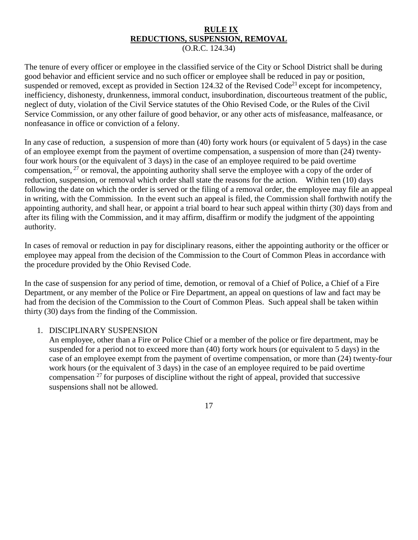#### **RULE IX REDUCTIONS, SUSPENSION, REMOVAL** (O.R.C. 124.34)

The tenure of every officer or employee in the classified service of the City or School District shall be during good behavior and efficient service and no such officer or employee shall be reduced in pay or position, suspended or removed, except as provided in Section 124.32 of the Revised Code<sup>21</sup> except for incompetency, inefficiency, dishonesty, drunkenness, immoral conduct, insubordination, discourteous treatment of the public, neglect of duty, violation of the Civil Service statutes of the Ohio Revised Code, or the Rules of the Civil Service Commission, or any other failure of good behavior, or any other acts of misfeasance, malfeasance, or nonfeasance in office or conviction of a felony.

In any case of reduction, a suspension of more than (40) forty work hours (or equivalent of 5 days) in the case of an employee exempt from the payment of overtime compensation, a suspension of more than (24) twentyfour work hours (or the equivalent of 3 days) in the case of an employee required to be paid overtime compensation,  $27$  or removal, the appointing authority shall serve the employee with a copy of the order of reduction, suspension, or removal which order shall state the reasons for the action. Within ten (10) days following the date on which the order is served or the filing of a removal order, the employee may file an appeal in writing, with the Commission. In the event such an appeal is filed, the Commission shall forthwith notify the appointing authority, and shall hear, or appoint a trial board to hear such appeal within thirty (30) days from and after its filing with the Commission, and it may affirm, disaffirm or modify the judgment of the appointing authority.

In cases of removal or reduction in pay for disciplinary reasons, either the appointing authority or the officer or employee may appeal from the decision of the Commission to the Court of Common Pleas in accordance with the procedure provided by the Ohio Revised Code.

In the case of suspension for any period of time, demotion, or removal of a Chief of Police, a Chief of a Fire Department, or any member of the Police or Fire Department, an appeal on questions of law and fact may be had from the decision of the Commission to the Court of Common Pleas. Such appeal shall be taken within thirty (30) days from the finding of the Commission.

#### 1. DISCIPLINARY SUSPENSION

An employee, other than a Fire or Police Chief or a member of the police or fire department, may be suspended for a period not to exceed more than (40) forty work hours (or equivalent to 5 days) in the case of an employee exempt from the payment of overtime compensation, or more than (24) twenty-four work hours (or the equivalent of 3 days) in the case of an employee required to be paid overtime compensation  $27$  for purposes of discipline without the right of appeal, provided that successive suspensions shall not be allowed.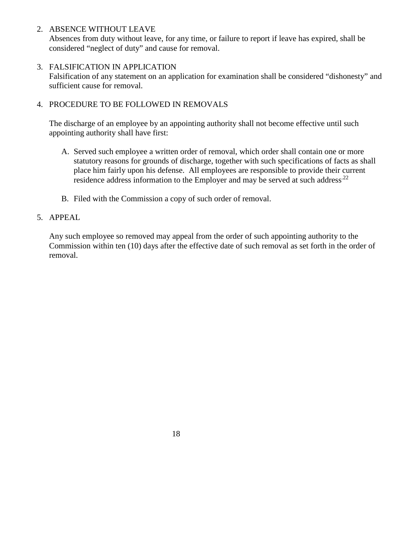### 2. ABSENCE WITHOUT LEAVE

Absences from duty without leave, for any time, or failure to report if leave has expired, shall be considered "neglect of duty" and cause for removal.

### 3. FALSIFICATION IN APPLICATION

Falsification of any statement on an application for examination shall be considered "dishonesty" and sufficient cause for removal.

# 4. PROCEDURE TO BE FOLLOWED IN REMOVALS

The discharge of an employee by an appointing authority shall not become effective until such appointing authority shall have first:

- A. Served such employee a written order of removal, which order shall contain one or more statutory reasons for grounds of discharge, together with such specifications of facts as shall place him fairly upon his defense. All employees are responsible to provide their current residence address information to the Employer and may be served at such address<sup>22</sup>
- B. Filed with the Commission a copy of such order of removal.

## 5. APPEAL

Any such employee so removed may appeal from the order of such appointing authority to the Commission within ten (10) days after the effective date of such removal as set forth in the order of removal.

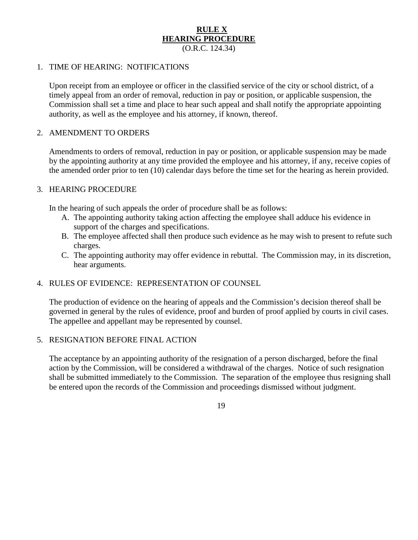#### **RULE X HEARING PROCEDURE** (O.R.C. 124.34)

#### 1. TIME OF HEARING: NOTIFICATIONS

Upon receipt from an employee or officer in the classified service of the city or school district, of a timely appeal from an order of removal, reduction in pay or position, or applicable suspension, the Commission shall set a time and place to hear such appeal and shall notify the appropriate appointing authority, as well as the employee and his attorney, if known, thereof.

#### 2. AMENDMENT TO ORDERS

Amendments to orders of removal, reduction in pay or position, or applicable suspension may be made by the appointing authority at any time provided the employee and his attorney, if any, receive copies of the amended order prior to ten (10) calendar days before the time set for the hearing as herein provided.

#### 3. HEARING PROCEDURE

In the hearing of such appeals the order of procedure shall be as follows:

- A. The appointing authority taking action affecting the employee shall adduce his evidence in support of the charges and specifications.
- B. The employee affected shall then produce such evidence as he may wish to present to refute such charges.
- C. The appointing authority may offer evidence in rebuttal. The Commission may, in its discretion, hear arguments.

#### 4. RULES OF EVIDENCE: REPRESENTATION OF COUNSEL

The production of evidence on the hearing of appeals and the Commission's decision thereof shall be governed in general by the rules of evidence, proof and burden of proof applied by courts in civil cases. The appellee and appellant may be represented by counsel.

#### 5. RESIGNATION BEFORE FINAL ACTION

The acceptance by an appointing authority of the resignation of a person discharged, before the final action by the Commission, will be considered a withdrawal of the charges. Notice of such resignation shall be submitted immediately to the Commission. The separation of the employee thus resigning shall be entered upon the records of the Commission and proceedings dismissed without judgment.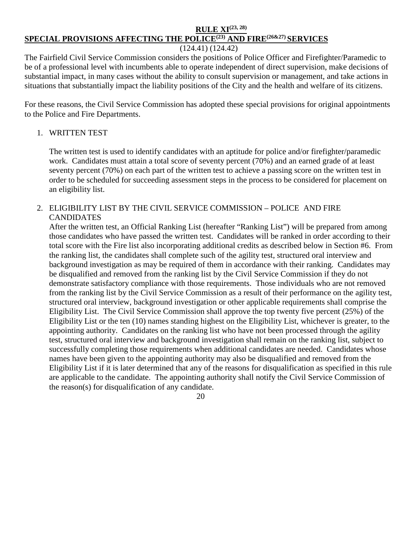# **RULE XI(23, 28) SPECIAL PROVISIONS AFFECTING THE POLICE(23) AND FIRE(26&27) SERVICES**

### (124.41) (124.42)

The Fairfield Civil Service Commission considers the positions of Police Officer and Firefighter/Paramedic to be of a professional level with incumbents able to operate independent of direct supervision, make decisions of substantial impact, in many cases without the ability to consult supervision or management, and take actions in situations that substantially impact the liability positions of the City and the health and welfare of its citizens.

For these reasons, the Civil Service Commission has adopted these special provisions for original appointments to the Police and Fire Departments.

### 1. WRITTEN TEST

The written test is used to identify candidates with an aptitude for police and/or firefighter/paramedic work. Candidates must attain a total score of seventy percent (70%) and an earned grade of at least seventy percent (70%) on each part of the written test to achieve a passing score on the written test in order to be scheduled for succeeding assessment steps in the process to be considered for placement on an eligibility list.

### 2. ELIGIBILITY LIST BY THE CIVIL SERVICE COMMISSION – POLICE AND FIRE **CANDIDATES**

After the written test, an Official Ranking List (hereafter "Ranking List") will be prepared from among those candidates who have passed the written test. Candidates will be ranked in order according to their total score with the Fire list also incorporating additional credits as described below in Section #6. From the ranking list, the candidates shall complete such of the agility test, structured oral interview and background investigation as may be required of them in accordance with their ranking. Candidates may be disqualified and removed from the ranking list by the Civil Service Commission if they do not demonstrate satisfactory compliance with those requirements. Those individuals who are not removed from the ranking list by the Civil Service Commission as a result of their performance on the agility test, structured oral interview, background investigation or other applicable requirements shall comprise the Eligibility List. The Civil Service Commission shall approve the top twenty five percent (25%) of the Eligibility List or the ten (10) names standing highest on the Eligibility List, whichever is greater, to the appointing authority. Candidates on the ranking list who have not been processed through the agility test, structured oral interview and background investigation shall remain on the ranking list, subject to successfully completing those requirements when additional candidates are needed. Candidates whose names have been given to the appointing authority may also be disqualified and removed from the Eligibility List if it is later determined that any of the reasons for disqualification as specified in this rule are applicable to the candidate. The appointing authority shall notify the Civil Service Commission of the reason(s) for disqualification of any candidate.

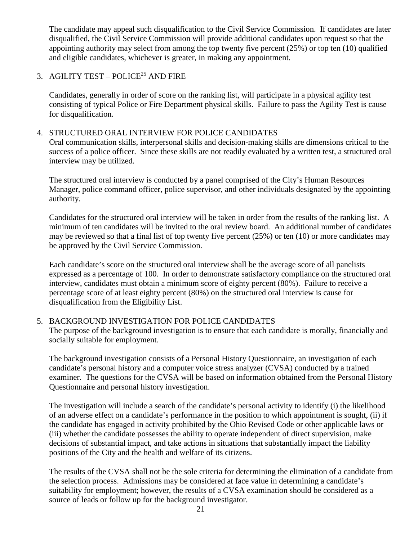The candidate may appeal such disqualification to the Civil Service Commission. If candidates are later disqualified, the Civil Service Commission will provide additional candidates upon request so that the appointing authority may select from among the top twenty five percent (25%) or top ten (10) qualified and eligible candidates, whichever is greater, in making any appointment.

# 3. AGILITY TEST – POLICE $^{25}$  AND FIRE

Candidates, generally in order of score on the ranking list, will participate in a physical agility test consisting of typical Police or Fire Department physical skills. Failure to pass the Agility Test is cause for disqualification.

### 4. STRUCTURED ORAL INTERVIEW FOR POLICE CANDIDATES

Oral communication skills, interpersonal skills and decision-making skills are dimensions critical to the success of a police officer. Since these skills are not readily evaluated by a written test, a structured oral interview may be utilized.

The structured oral interview is conducted by a panel comprised of the City's Human Resources Manager, police command officer, police supervisor, and other individuals designated by the appointing authority.

Candidates for the structured oral interview will be taken in order from the results of the ranking list. A minimum of ten candidates will be invited to the oral review board. An additional number of candidates may be reviewed so that a final list of top twenty five percent (25%) or ten (10) or more candidates may be approved by the Civil Service Commission.

Each candidate's score on the structured oral interview shall be the average score of all panelists expressed as a percentage of 100. In order to demonstrate satisfactory compliance on the structured oral interview, candidates must obtain a minimum score of eighty percent (80%). Failure to receive a percentage score of at least eighty percent (80%) on the structured oral interview is cause for disqualification from the Eligibility List.

### 5. BACKGROUND INVESTIGATION FOR POLICE CANDIDATES

The purpose of the background investigation is to ensure that each candidate is morally, financially and socially suitable for employment.

The background investigation consists of a Personal History Questionnaire, an investigation of each candidate's personal history and a computer voice stress analyzer (CVSA) conducted by a trained examiner. The questions for the CVSA will be based on information obtained from the Personal History Questionnaire and personal history investigation.

The investigation will include a search of the candidate's personal activity to identify (i) the likelihood of an adverse effect on a candidate's performance in the position to which appointment is sought, (ii) if the candidate has engaged in activity prohibited by the Ohio Revised Code or other applicable laws or (iii) whether the candidate possesses the ability to operate independent of direct supervision, make decisions of substantial impact, and take actions in situations that substantially impact the liability positions of the City and the health and welfare of its citizens.

The results of the CVSA shall not be the sole criteria for determining the elimination of a candidate from the selection process. Admissions may be considered at face value in determining a candidate's suitability for employment; however, the results of a CVSA examination should be considered as a source of leads or follow up for the background investigator.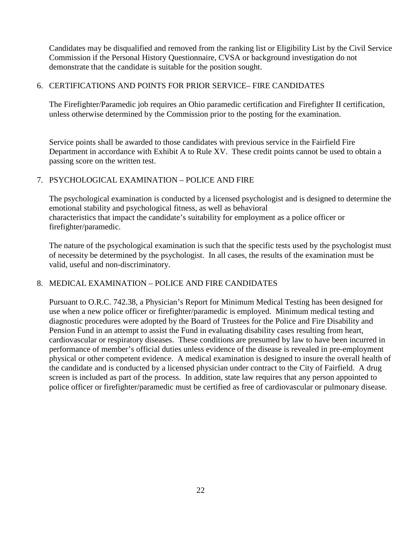Candidates may be disqualified and removed from the ranking list or Eligibility List by the Civil Service Commission if the Personal History Questionnaire, CVSA or background investigation do not demonstrate that the candidate is suitable for the position sought.

### 6. CERTIFICATIONS AND POINTS FOR PRIOR SERVICE– FIRE CANDIDATES

The Firefighter/Paramedic job requires an Ohio paramedic certification and Firefighter II certification, unless otherwise determined by the Commission prior to the posting for the examination.

Service points shall be awarded to those candidates with previous service in the Fairfield Fire Department in accordance with Exhibit A to Rule XV. These credit points cannot be used to obtain a passing score on the written test.

### 7. PSYCHOLOGICAL EXAMINATION – POLICE AND FIRE

The psychological examination is conducted by a licensed psychologist and is designed to determine the emotional stability and psychological fitness, as well as behavioral characteristics that impact the candidate's suitability for employment as a police officer or firefighter/paramedic.

The nature of the psychological examination is such that the specific tests used by the psychologist must of necessity be determined by the psychologist. In all cases, the results of the examination must be valid, useful and non-discriminatory.

### 8. MEDICAL EXAMINATION – POLICE AND FIRE CANDIDATES

Pursuant to O.R.C. 742.38, a Physician's Report for Minimum Medical Testing has been designed for use when a new police officer or firefighter/paramedic is employed. Minimum medical testing and diagnostic procedures were adopted by the Board of Trustees for the Police and Fire Disability and Pension Fund in an attempt to assist the Fund in evaluating disability cases resulting from heart, cardiovascular or respiratory diseases. These conditions are presumed by law to have been incurred in performance of member's official duties unless evidence of the disease is revealed in pre-employment physical or other competent evidence. A medical examination is designed to insure the overall health of the candidate and is conducted by a licensed physician under contract to the City of Fairfield. A drug screen is included as part of the process. In addition, state law requires that any person appointed to police officer or firefighter/paramedic must be certified as free of cardiovascular or pulmonary disease.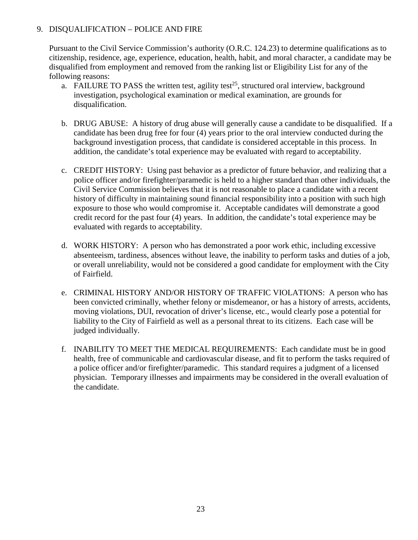### 9. DISQUALIFICATION – POLICE AND FIRE

Pursuant to the Civil Service Commission's authority (O.R.C. 124.23) to determine qualifications as to citizenship, residence, age, experience, education, health, habit, and moral character, a candidate may be disqualified from employment and removed from the ranking list or Eligibility List for any of the following reasons:

- a. FAILURE TO PASS the written test, agility test<sup>25</sup>, structured oral interview, background investigation, psychological examination or medical examination, are grounds for disqualification.
- b. DRUG ABUSE: A history of drug abuse will generally cause a candidate to be disqualified. If a candidate has been drug free for four (4) years prior to the oral interview conducted during the background investigation process, that candidate is considered acceptable in this process. In addition, the candidate's total experience may be evaluated with regard to acceptability.
- c. CREDIT HISTORY: Using past behavior as a predictor of future behavior, and realizing that a police officer and/or firefighter/paramedic is held to a higher standard than other individuals, the Civil Service Commission believes that it is not reasonable to place a candidate with a recent history of difficulty in maintaining sound financial responsibility into a position with such high exposure to those who would compromise it. Acceptable candidates will demonstrate a good credit record for the past four (4) years. In addition, the candidate's total experience may be evaluated with regards to acceptability.
- d. WORK HISTORY: A person who has demonstrated a poor work ethic, including excessive absenteeism, tardiness, absences without leave, the inability to perform tasks and duties of a job, or overall unreliability, would not be considered a good candidate for employment with the City of Fairfield.
- e. CRIMINAL HISTORY AND/OR HISTORY OF TRAFFIC VIOLATIONS: A person who has been convicted criminally, whether felony or misdemeanor, or has a history of arrests, accidents, moving violations, DUI, revocation of driver's license, etc., would clearly pose a potential for liability to the City of Fairfield as well as a personal threat to its citizens. Each case will be judged individually.
- f. INABILITY TO MEET THE MEDICAL REQUIREMENTS: Each candidate must be in good health, free of communicable and cardiovascular disease, and fit to perform the tasks required of a police officer and/or firefighter/paramedic. This standard requires a judgment of a licensed physician. Temporary illnesses and impairments may be considered in the overall evaluation of the candidate.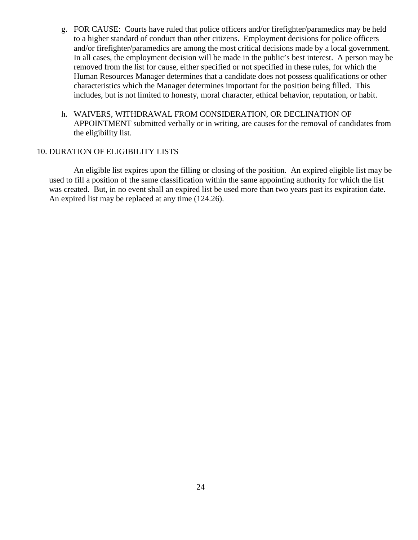- g. FOR CAUSE: Courts have ruled that police officers and/or firefighter/paramedics may be held to a higher standard of conduct than other citizens. Employment decisions for police officers and/or firefighter/paramedics are among the most critical decisions made by a local government. In all cases, the employment decision will be made in the public's best interest. A person may be removed from the list for cause, either specified or not specified in these rules, for which the Human Resources Manager determines that a candidate does not possess qualifications or other characteristics which the Manager determines important for the position being filled. This includes, but is not limited to honesty, moral character, ethical behavior, reputation, or habit.
- h. WAIVERS, WITHDRAWAL FROM CONSIDERATION, OR DECLINATION OF APPOINTMENT submitted verbally or in writing, are causes for the removal of candidates from the eligibility list.

#### 10. DURATION OF ELIGIBILITY LISTS

An eligible list expires upon the filling or closing of the position. An expired eligible list may be used to fill a position of the same classification within the same appointing authority for which the list was created. But, in no event shall an expired list be used more than two years past its expiration date. An expired list may be replaced at any time (124.26).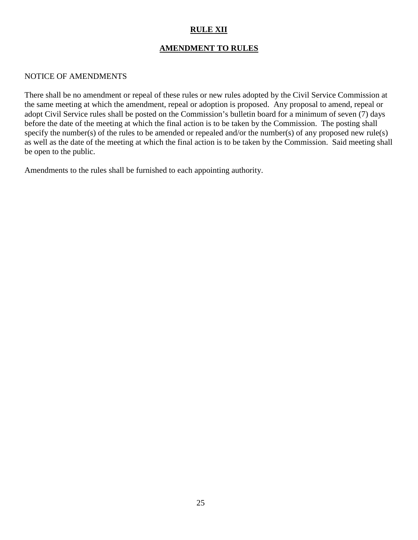# **RULE XII**

# **AMENDMENT TO RULES**

#### NOTICE OF AMENDMENTS

There shall be no amendment or repeal of these rules or new rules adopted by the Civil Service Commission at the same meeting at which the amendment, repeal or adoption is proposed. Any proposal to amend, repeal or adopt Civil Service rules shall be posted on the Commission's bulletin board for a minimum of seven (7) days before the date of the meeting at which the final action is to be taken by the Commission. The posting shall specify the number(s) of the rules to be amended or repealed and/or the number(s) of any proposed new rule(s) as well as the date of the meeting at which the final action is to be taken by the Commission. Said meeting shall be open to the public.

Amendments to the rules shall be furnished to each appointing authority.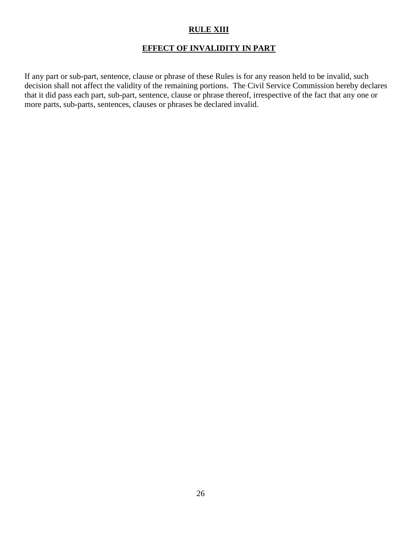### **RULE XIII**

### **EFFECT OF INVALIDITY IN PART**

If any part or sub-part, sentence, clause or phrase of these Rules is for any reason held to be invalid, such decision shall not affect the validity of the remaining portions. The Civil Service Commission hereby declares that it did pass each part, sub-part, sentence, clause or phrase thereof, irrespective of the fact that any one or more parts, sub-parts, sentences, clauses or phrases be declared invalid.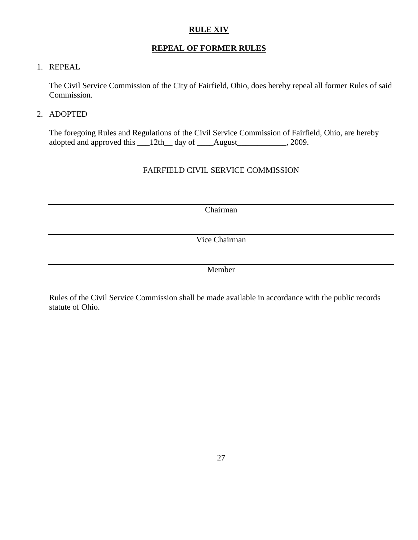### **RULE XIV**

# **REPEAL OF FORMER RULES**

### 1. REPEAL

The Civil Service Commission of the City of Fairfield, Ohio, does hereby repeal all former Rules of said Commission.

### 2. ADOPTED

The foregoing Rules and Regulations of the Civil Service Commission of Fairfield, Ohio, are hereby adopted and approved this \_\_12th\_ day of \_\_\_\_August\_\_\_\_\_\_\_\_\_\_, 2009.

## FAIRFIELD CIVIL SERVICE COMMISSION

Chairman

Vice Chairman

Member

Rules of the Civil Service Commission shall be made available in accordance with the public records statute of Ohio.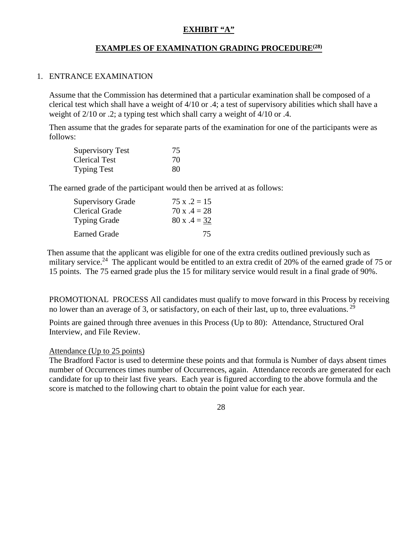### **EXHIBIT "A"**

# **EXAMPLES OF EXAMINATION GRADING PROCEDURE(28)**

#### 1. ENTRANCE EXAMINATION

Assume that the Commission has determined that a particular examination shall be composed of a clerical test which shall have a weight of 4/10 or .4; a test of supervisory abilities which shall have a weight of  $2/10$  or .2; a typing test which shall carry a weight of  $4/10$  or .4.

Then assume that the grades for separate parts of the examination for one of the participants were as follows:

| <b>Supervisory Test</b> | 75. |
|-------------------------|-----|
| <b>Clerical Test</b>    | 70  |
| <b>Typing Test</b>      | 80  |

The earned grade of the participant would then be arrived at as follows:

| <b>Supervisory Grade</b> | $75 x .2 = 15$ |
|--------------------------|----------------|
| <b>Clerical Grade</b>    | $70x.4 = 28$   |
| <b>Typing Grade</b>      | $80 x .4 = 32$ |
| <b>Earned Grade</b>      | 75.            |

 Then assume that the applicant was eligible for one of the extra credits outlined previously such as military service.<sup>24</sup> The applicant would be entitled to an extra credit of 20% of the earned grade of 75 or 15 points. The 75 earned grade plus the 15 for military service would result in a final grade of 90%.

PROMOTIONAL PROCESS All candidates must qualify to move forward in this Process by receiving no lower than an average of 3, or satisfactory, on each of their last, up to, three evaluations.  $^{29}$ 

Points are gained through three avenues in this Process (Up to 80): Attendance, Structured Oral Interview, and File Review.

#### Attendance (Up to 25 points)

The Bradford Factor is used to determine these points and that formula is Number of days absent times number of Occurrences times number of Occurrences, again. Attendance records are generated for each candidate for up to their last five years. Each year is figured according to the above formula and the score is matched to the following chart to obtain the point value for each year.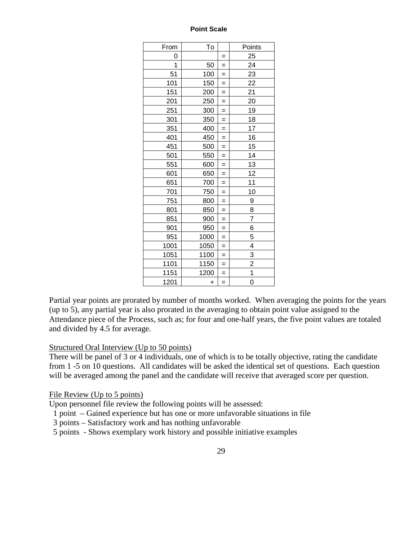#### **Point Scale**

| From | To        |          | Points         |
|------|-----------|----------|----------------|
| 0    |           | $=$      | 25             |
| 1    | 50        | $=$      | 24             |
| 51   | 100       | $=$      | 23             |
| 101  | 150       | $=$      | 22             |
| 151  | 200       | $=$      | 21             |
| 201  | 250       | $=$      | 20             |
| 251  | 300       | $=$      | 19             |
| 301  | 350       | $=$      | 18             |
| 351  | 400       | $=$      | 17             |
| 401  | 450       | $\equiv$ | 16             |
| 451  | 500       | $=$      | 15             |
| 501  | 550       | $\equiv$ | 14             |
| 551  | 600       | $\equiv$ | 13             |
| 601  | 650       | $=$      | 12             |
| 651  | 700       | $=$      | 11             |
| 701  | 750       | $\equiv$ | 10             |
| 751  | 800       | $=$      | 9              |
| 801  | 850       | $=$      | 8              |
| 851  | 900       | $=$      | $\overline{7}$ |
| 901  | 950       | $=$      | 6              |
| 951  | 1000      | $=$      | $\overline{5}$ |
| 1001 | 1050      | $=$      | 4              |
| 1051 | 1100      | $=$      |                |
| 1101 | 1150      | $=$      | $\frac{3}{2}$  |
| 1151 | 1200      | $\equiv$ |                |
| 1201 | $\ddot{}$ | $=$      | 0              |

Partial year points are prorated by number of months worked. When averaging the points for the years (up to 5), any partial year is also prorated in the averaging to obtain point value assigned to the Attendance piece of the Process, such as; for four and one-half years, the five point values are totaled and divided by 4.5 for average.

#### Structured Oral Interview (Up to 50 points)

There will be panel of 3 or 4 individuals, one of which is to be totally objective, rating the candidate from 1 -5 on 10 questions. All candidates will be asked the identical set of questions. Each question will be averaged among the panel and the candidate will receive that averaged score per question.

#### File Review (Up to 5 points)

Upon personnel file review the following points will be assessed:

1 point – Gained experience but has one or more unfavorable situations in file

- 3 points Satisfactory work and has nothing unfavorable
- 5 points Shows exemplary work history and possible initiative examples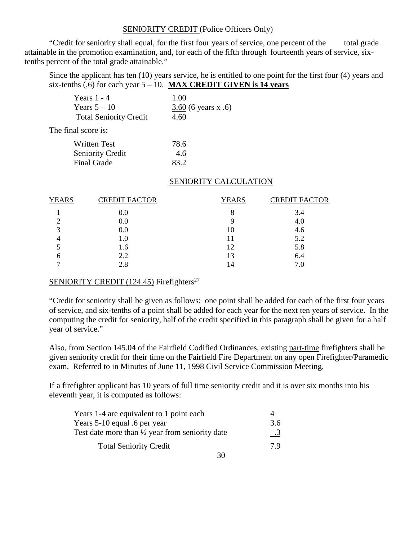#### SENIORITY CREDIT (Police Officers Only)

"Credit for seniority shall equal, for the first four years of service, one percent of the total grade attainable in the promotion examination, and, for each of the fifth through fourteenth years of service, sixtenths percent of the total grade attainable."

Since the applicant has ten (10) years service, he is entitled to one point for the first four (4) years and six-tenths (.6) for each year 5 – 10. **MAX CREDIT GIVEN is 14 years**

| Years $1 - 4$                 | 1.00                  |
|-------------------------------|-----------------------|
| Years $5-10$                  | $3.60$ (6 years x .6) |
| <b>Total Seniority Credit</b> | 4.60                  |

The final score is:

| <b>Written Test</b>     | 78.6 |
|-------------------------|------|
| <b>Seniority Credit</b> | 4.6  |
| <b>Final Grade</b>      | 83.2 |

### SENIORITY CALCULATION

| <b>YEARS</b> | <b>CREDIT FACTOR</b> | <b>YEARS</b> | <b>CREDIT FACTOR</b> |
|--------------|----------------------|--------------|----------------------|
|              | 0.0                  | 8            | 3.4                  |
|              | 0.0                  |              | 4.0                  |
| 2            | 0.0                  | Ю            | 4.6                  |
|              | 1.0                  |              | 5.2                  |
|              | 1.6                  | 12           | 5.8                  |
| h            | 2.2                  |              | 6.4                  |
|              | 2.8                  |              | 7.0                  |

#### SENIORITY CREDIT (124.45) Firefighters<sup>27</sup>

"Credit for seniority shall be given as follows: one point shall be added for each of the first four years of service, and six-tenths of a point shall be added for each year for the next ten years of service. In the computing the credit for seniority, half of the credit specified in this paragraph shall be given for a half year of service."

Also, from Section 145.04 of the Fairfield Codified Ordinances, existing part-time firefighters shall be given seniority credit for their time on the Fairfield Fire Department on any open Firefighter/Paramedic exam. Referred to in Minutes of June 11, 1998 Civil Service Commission Meeting.

If a firefighter applicant has 10 years of full time seniority credit and it is over six months into his eleventh year, it is computed as follows:

| Years 1-4 are equivalent to 1 point each                   |           |
|------------------------------------------------------------|-----------|
| Years 5-10 equal .6 per year                               | 3.6       |
| Test date more than $\frac{1}{2}$ year from seniority date | $\cdot$ 3 |
| <b>Total Seniority Credit</b>                              | 79        |
|                                                            |           |